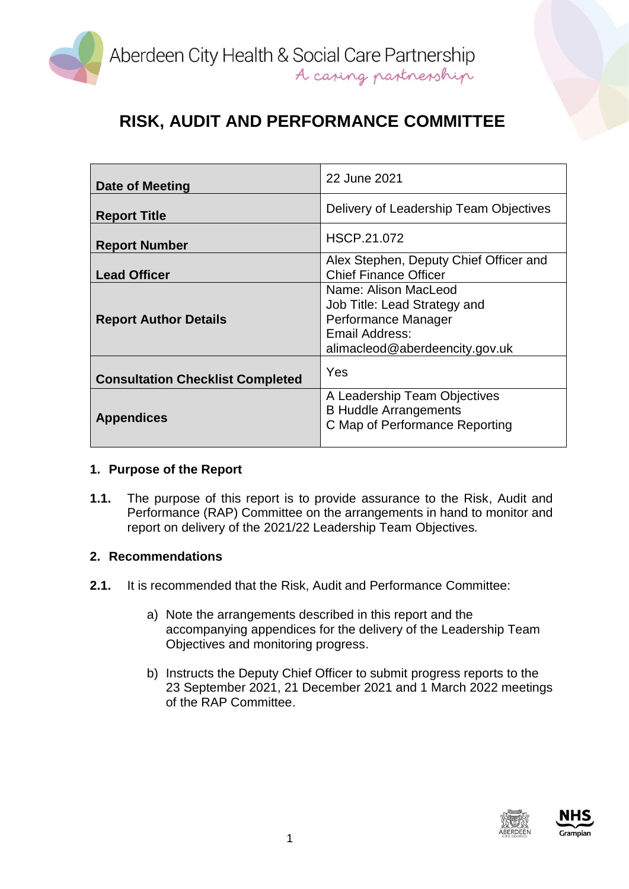

| Date of Meeting                         | 22 June 2021                                                                                                                    |
|-----------------------------------------|---------------------------------------------------------------------------------------------------------------------------------|
| <b>Report Title</b>                     | Delivery of Leadership Team Objectives                                                                                          |
| <b>Report Number</b>                    | HSCP.21.072                                                                                                                     |
| <b>Lead Officer</b>                     | Alex Stephen, Deputy Chief Officer and<br><b>Chief Finance Officer</b>                                                          |
| <b>Report Author Details</b>            | Name: Alison MacLeod<br>Job Title: Lead Strategy and<br>Performance Manager<br>Email Address:<br>alimacleod@aberdeencity.gov.uk |
| <b>Consultation Checklist Completed</b> | Yes                                                                                                                             |
| <b>Appendices</b>                       | A Leadership Team Objectives<br><b>B Huddle Arrangements</b><br>C Map of Performance Reporting                                  |

### **1. Purpose of the Report**

**1.1.** The purpose of this report is to provide assurance to the Risk, Audit and Performance (RAP) Committee on the arrangements in hand to monitor and report on delivery of the 2021/22 Leadership Team Objectives*.* 

#### **2. Recommendations**

- **2.1.** It is recommended that the Risk, Audit and Performance Committee:
	- a) Note the arrangements described in this report and the accompanying appendices for the delivery of the Leadership Team Objectives and monitoring progress.
	- b) Instructs the Deputy Chief Officer to submit progress reports to the 23 September 2021, 21 December 2021 and 1 March 2022 meetings of the RAP Committee.



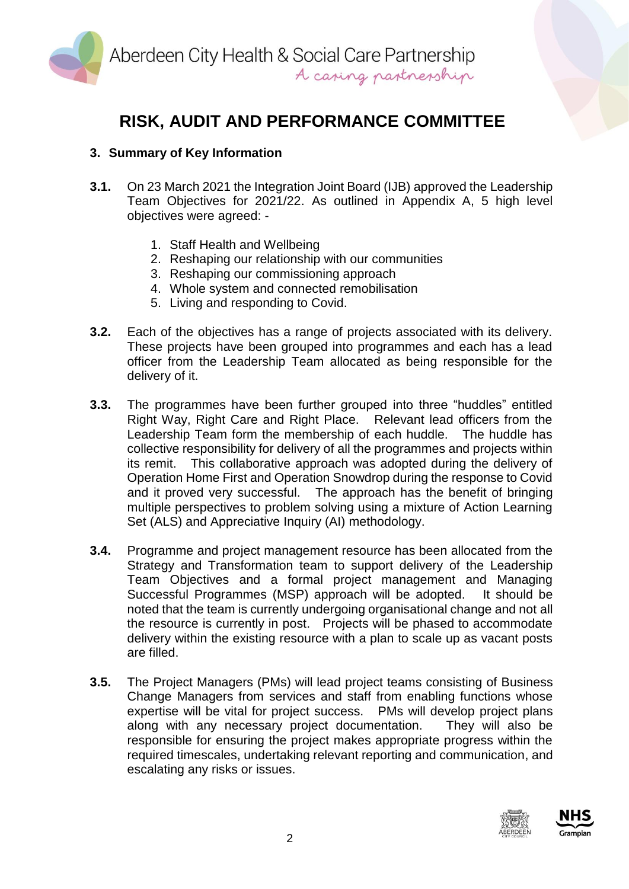

### **3. Summary of Key Information**

- **3.1.** On 23 March 2021 the Integration Joint Board (IJB) approved the Leadership Team Objectives for 2021/22. As outlined in Appendix A, 5 high level objectives were agreed: -
	- 1. Staff Health and Wellbeing
	- 2. Reshaping our relationship with our communities
	- 3. Reshaping our commissioning approach
	- 4. Whole system and connected remobilisation
	- 5. Living and responding to Covid.
- **3.2.** Each of the objectives has a range of projects associated with its delivery. These projects have been grouped into programmes and each has a lead officer from the Leadership Team allocated as being responsible for the delivery of it.
- **3.3.** The programmes have been further grouped into three "huddles" entitled Right Way, Right Care and Right Place. Relevant lead officers from the Leadership Team form the membership of each huddle. The huddle has collective responsibility for delivery of all the programmes and projects within its remit. This collaborative approach was adopted during the delivery of Operation Home First and Operation Snowdrop during the response to Covid and it proved very successful. The approach has the benefit of bringing multiple perspectives to problem solving using a mixture of Action Learning Set (ALS) and Appreciative Inquiry (AI) methodology.
- **3.4.** Programme and project management resource has been allocated from the Strategy and Transformation team to support delivery of the Leadership Team Objectives and a formal project management and Managing Successful Programmes (MSP) approach will be adopted. It should be noted that the team is currently undergoing organisational change and not all the resource is currently in post. Projects will be phased to accommodate delivery within the existing resource with a plan to scale up as vacant posts are filled.
- **3.5.** The Project Managers (PMs) will lead project teams consisting of Business Change Managers from services and staff from enabling functions whose expertise will be vital for project success. PMs will develop project plans along with any necessary project documentation. They will also be responsible for ensuring the project makes appropriate progress within the required timescales, undertaking relevant reporting and communication, and escalating any risks or issues.



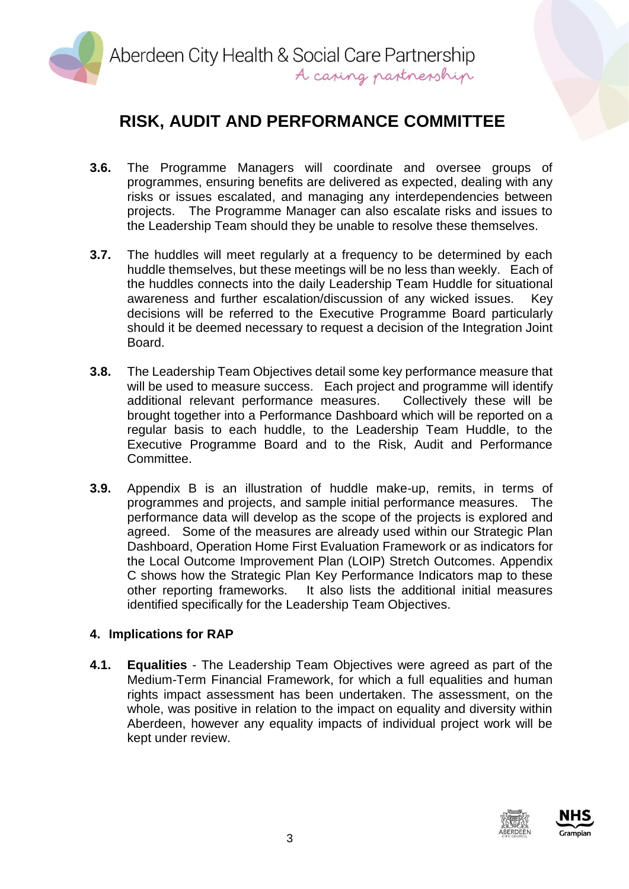

- **3.6.** The Programme Managers will coordinate and oversee groups of programmes, ensuring benefits are delivered as expected, dealing with any risks or issues escalated, and managing any interdependencies between projects. The Programme Manager can also escalate risks and issues to the Leadership Team should they be unable to resolve these themselves.
- **3.7.** The huddles will meet regularly at a frequency to be determined by each huddle themselves, but these meetings will be no less than weekly. Each of the huddles connects into the daily Leadership Team Huddle for situational awareness and further escalation/discussion of any wicked issues. Key decisions will be referred to the Executive Programme Board particularly should it be deemed necessary to request a decision of the Integration Joint Board.
- **3.8.** The Leadership Team Objectives detail some key performance measure that will be used to measure success. Each project and programme will identify additional relevant performance measures. Collectively these will be brought together into a Performance Dashboard which will be reported on a regular basis to each huddle, to the Leadership Team Huddle, to the Executive Programme Board and to the Risk, Audit and Performance Committee.
- **3.9.** Appendix B is an illustration of huddle make-up, remits, in terms of programmes and projects, and sample initial performance measures. The performance data will develop as the scope of the projects is explored and agreed. Some of the measures are already used within our Strategic Plan Dashboard, Operation Home First Evaluation Framework or as indicators for the Local Outcome Improvement Plan (LOIP) Stretch Outcomes. Appendix C shows how the Strategic Plan Key Performance Indicators map to these other reporting frameworks. It also lists the additional initial measures identified specifically for the Leadership Team Objectives.

### **4. Implications for RAP**

**4.1. Equalities** - The Leadership Team Objectives were agreed as part of the Medium-Term Financial Framework, for which a full equalities and human rights impact assessment has been undertaken. The assessment, on the whole, was positive in relation to the impact on equality and diversity within Aberdeen, however any equality impacts of individual project work will be kept under review.



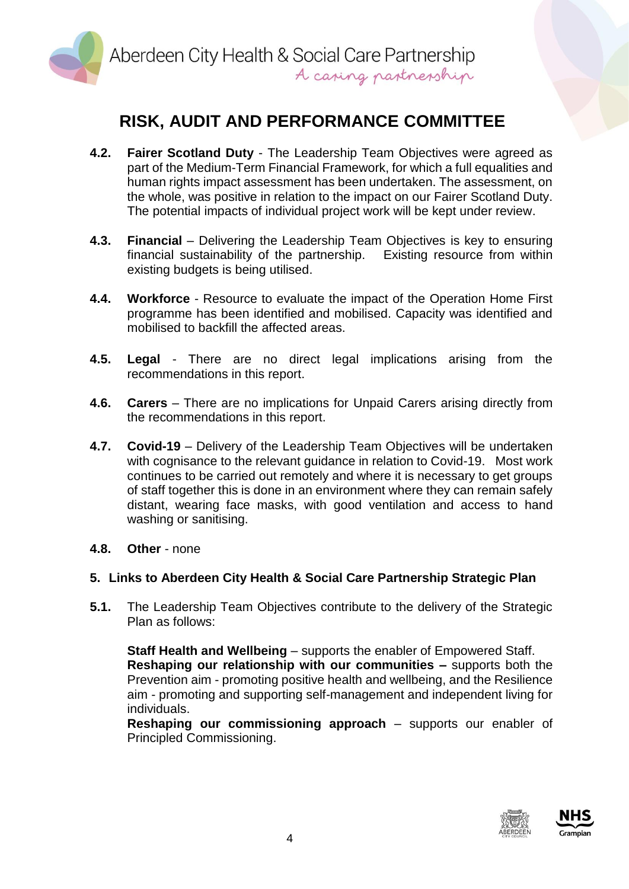

- **4.2. Fairer Scotland Duty** The Leadership Team Objectives were agreed as part of the Medium-Term Financial Framework, for which a full equalities and human rights impact assessment has been undertaken. The assessment, on the whole, was positive in relation to the impact on our Fairer Scotland Duty. The potential impacts of individual project work will be kept under review.
- **4.3. Financial** Delivering the Leadership Team Objectives is key to ensuring financial sustainability of the partnership. Existing resource from within existing budgets is being utilised.
- **4.4. Workforce**  Resource to evaluate the impact of the Operation Home First programme has been identified and mobilised. Capacity was identified and mobilised to backfill the affected areas.
- **4.5. Legal** There are no direct legal implications arising from the recommendations in this report.
- **4.6. Carers** There are no implications for Unpaid Carers arising directly from the recommendations in this report.
- **4.7. Covid-19** Delivery of the Leadership Team Objectives will be undertaken with cognisance to the relevant guidance in relation to Covid-19. Most work continues to be carried out remotely and where it is necessary to get groups of staff together this is done in an environment where they can remain safely distant, wearing face masks, with good ventilation and access to hand washing or sanitising.
- **4.8. Other** none

### **5. Links to Aberdeen City Health & Social Care Partnership Strategic Plan**

**5.1.** The Leadership Team Objectives contribute to the delivery of the Strategic Plan as follows:

**Staff Health and Wellbeing** – supports the enabler of Empowered Staff. **Reshaping our relationship with our communities –** supports both the Prevention aim - promoting positive health and wellbeing, and the Resilience aim - promoting and supporting self-management and independent living for individuals.

**Reshaping our commissioning approach** – supports our enabler of Principled Commissioning.



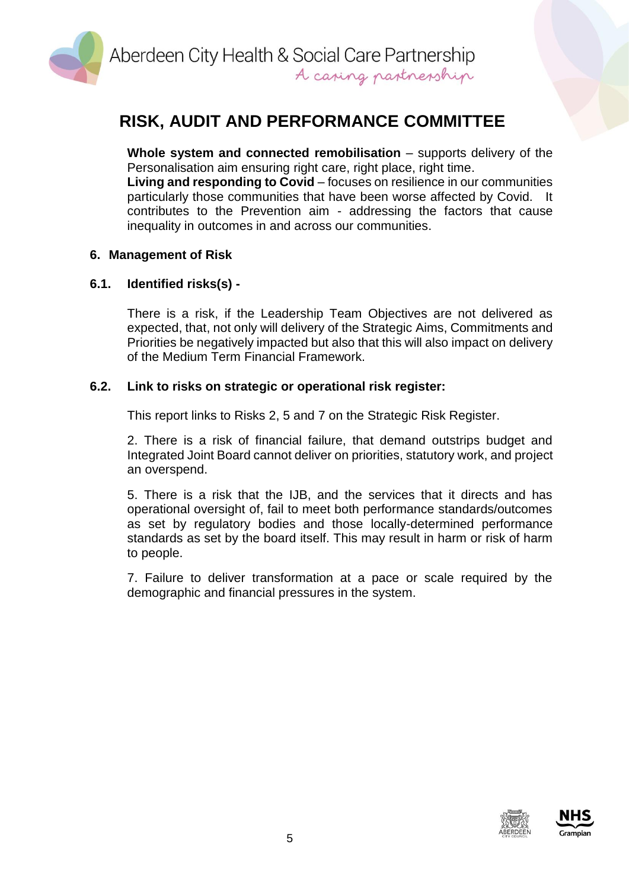

**Whole system and connected remobilisation** – supports delivery of the Personalisation aim ensuring right care, right place, right time. **Living and responding to Covid** – focuses on resilience in our communities particularly those communities that have been worse affected by Covid. It contributes to the Prevention aim - addressing the factors that cause inequality in outcomes in and across our communities.

### **6. Management of Risk**

### **6.1. Identified risks(s) -**

There is a risk, if the Leadership Team Objectives are not delivered as expected, that, not only will delivery of the Strategic Aims, Commitments and Priorities be negatively impacted but also that this will also impact on delivery of the Medium Term Financial Framework.

### **6.2. Link to risks on strategic or operational risk register:**

This report links to Risks 2, 5 and 7 on the Strategic Risk Register.

2. There is a risk of financial failure, that demand outstrips budget and Integrated Joint Board cannot deliver on priorities, statutory work, and project an overspend.

5. There is a risk that the IJB, and the services that it directs and has operational oversight of, fail to meet both performance standards/outcomes as set by regulatory bodies and those locally-determined performance standards as set by the board itself. This may result in harm or risk of harm to people.

7. Failure to deliver transformation at a pace or scale required by the demographic and financial pressures in the system.